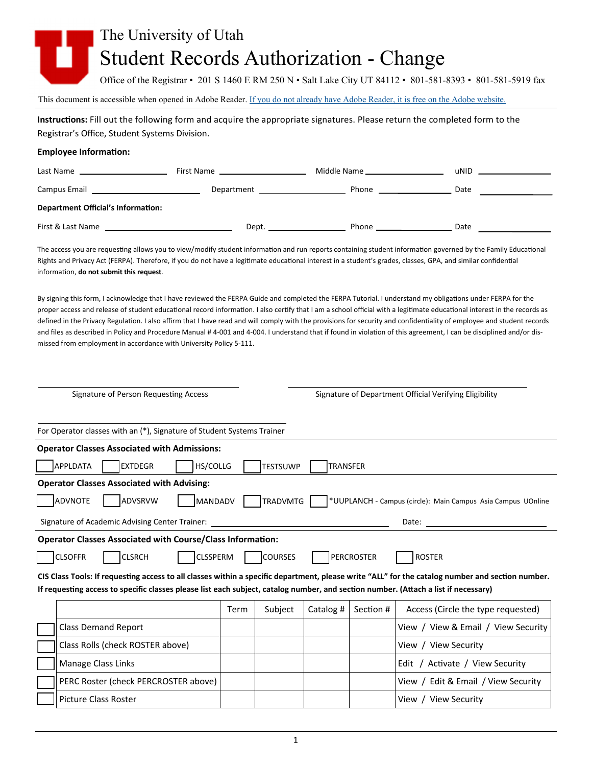## The University of Utah Student Records Authorization - Change

Office of the Registrar • 201 S 1460 E RM 250 N • Salt Lake City UT 84112 • 801-581-8393 • 801-581-5919 fax

This document is accessible when opened in Adobe Reader. If you do not already have Adobe Reader, it is free on the Adobe website.

**InstrucƟons:** Fill out the following form and acquire the appropriate signatures. Please return the completed form to the Registrar's Office, Student Systems Division.

## **Employee InformaƟon:**

| Last Name                                     | First Name                 | Middle Name | uNID |  |
|-----------------------------------------------|----------------------------|-------------|------|--|
| Campus Email <u>_________________________</u> | Department _______________ | Phone       | Date |  |
| <b>Department Official's Information:</b>     |                            |             |      |  |
| First & Last Name                             | Dept.                      | Phone       | Date |  |

The access you are requesting allows you to view/modify student information and run reports containing student information governed by the Family Educational Rights and Privacy Act (FERPA). Therefore, if you do not have a legitimate educational interest in a student's grades, classes, GPA, and similar confidential informaƟon, **do not submit this request**.

By signing this form, I acknowledge that I have reviewed the FERPA Guide and completed the FERPA Tutorial. I understand my obligations under FERPA for the proper access and release of student educational record information. I also certify that I am a school official with a legitimate educational interest in the records as defined in the Privacy Regulation. I also affirm that I have read and will comply with the provisions for security and confidentiality of employee and student records and files as described in Policy and Procedure Manual # 4-001 and 4-004. I understand that if found in violation of this agreement, I can be disciplined and/or dismissed from employment in accordance with University Policy 5‐111.

| Signature of Person Requesting Access                                                                                                            |      |                 | Signature of Department Official Verifying Eligibility |           |                                                              |
|--------------------------------------------------------------------------------------------------------------------------------------------------|------|-----------------|--------------------------------------------------------|-----------|--------------------------------------------------------------|
| For Operator classes with an (*), Signature of Student Systems Trainer                                                                           |      |                 |                                                        |           |                                                              |
| <b>Operator Classes Associated with Admissions:</b>                                                                                              |      |                 |                                                        |           |                                                              |
| APPLDATA<br><b>IEXTDEGR</b><br>HS/COLLG                                                                                                          |      | <b>TESTSUWP</b> | <b>TRANSFER</b>                                        |           |                                                              |
| <b>Operator Classes Associated with Advising:</b>                                                                                                |      |                 |                                                        |           |                                                              |
| ADVSRVW<br>MANDADV<br>ADVNOTE                                                                                                                    |      | TRADVMTG        |                                                        |           | *UUPLANCH - Campus (circle): Main Campus Asia Campus UOnline |
| Signature of Academic Advising Center Trainer:<br>Date:                                                                                          |      |                 |                                                        |           |                                                              |
| <b>Operator Classes Associated with Course/Class Information:</b>                                                                                |      |                 |                                                        |           |                                                              |
| <b>COURSES</b><br><b>PERCROSTER</b><br><b>ROSTER</b><br><b>CLSOFFR</b><br><b>CLSRCH</b><br><b>CLSSPERM</b>                                       |      |                 |                                                        |           |                                                              |
| CIS Class Tools: If requesting access to all classes within a specific department, please write "ALL" for the catalog number and section number. |      |                 |                                                        |           |                                                              |
| If requesting access to specific classes please list each subject, catalog number, and section number. (Attach a list if necessary)              |      |                 |                                                        |           |                                                              |
|                                                                                                                                                  | Term | Subject         | Catalog #                                              | Section # | Access (Circle the type requested)                           |
| <b>Class Demand Report</b>                                                                                                                       |      |                 |                                                        |           | View / View & Email / View Security                          |
| Class Rolls (check ROSTER above)                                                                                                                 |      |                 |                                                        |           | View / View Security                                         |
| Manage Class Links                                                                                                                               |      |                 |                                                        |           | Edit / Activate / View Security                              |
| PERC Roster (check PERCROSTER above)                                                                                                             |      |                 |                                                        |           | View / Edit & Email / View Security                          |
| <b>Picture Class Roster</b>                                                                                                                      |      |                 |                                                        |           | View / View Security                                         |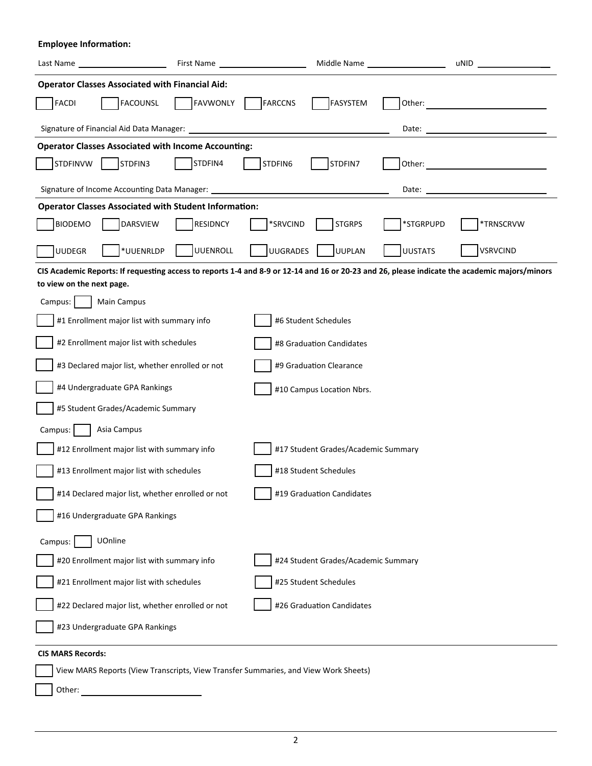**Employee Information:** 

| Last Name <u>and the set of the set of the set of the set of the set of the set of the set of the set of the set of the set of the set of the set of the set of the set of the set of the set of the set of the set of the set o</u> | First Name                                                                         | Middle Name ____________________                                                                                                              |                | uNID and the contract of the contract of the contract of the contract of the contract of the contract of the contract of the contract of the contract of the contract of the contract of the contract of the contract of the c |  |
|--------------------------------------------------------------------------------------------------------------------------------------------------------------------------------------------------------------------------------------|------------------------------------------------------------------------------------|-----------------------------------------------------------------------------------------------------------------------------------------------|----------------|--------------------------------------------------------------------------------------------------------------------------------------------------------------------------------------------------------------------------------|--|
| <b>Operator Classes Associated with Financial Aid:</b>                                                                                                                                                                               |                                                                                    |                                                                                                                                               |                |                                                                                                                                                                                                                                |  |
| <b>FACOUNSL</b><br><b>FACDI</b>                                                                                                                                                                                                      | <b>FAVWONLY</b>                                                                    | FARCCNS<br>FASYSTEM                                                                                                                           | Other:         |                                                                                                                                                                                                                                |  |
| Signature of Financial Aid Data Manager: _____                                                                                                                                                                                       |                                                                                    |                                                                                                                                               | Date:          |                                                                                                                                                                                                                                |  |
| <b>Operator Classes Associated with Income Accounting:</b>                                                                                                                                                                           |                                                                                    |                                                                                                                                               |                |                                                                                                                                                                                                                                |  |
| STDFINVW<br>STDFIN3                                                                                                                                                                                                                  | STDFIN4                                                                            | STDFIN6<br>STDFIN7                                                                                                                            | Other:         |                                                                                                                                                                                                                                |  |
| Signature of Income Accounting Data Manager: _<br>Date:                                                                                                                                                                              |                                                                                    |                                                                                                                                               |                |                                                                                                                                                                                                                                |  |
| <b>Operator Classes Associated with Student Information:</b>                                                                                                                                                                         |                                                                                    |                                                                                                                                               |                |                                                                                                                                                                                                                                |  |
| <b>BIODEMO</b><br><b>DARSVIEW</b>                                                                                                                                                                                                    | <b>RESIDNCY</b>                                                                    | *SRVCIND<br><b>STGRPS</b>                                                                                                                     | *STGRPUPD      | *TRNSCRVW                                                                                                                                                                                                                      |  |
| *UUENRLDP<br><b>UUDEGR</b>                                                                                                                                                                                                           | <b>UUENROLL</b>                                                                    | <b>UUGRADES</b><br>UUPLAN                                                                                                                     | <b>UUSTATS</b> | <b>VSRVCIND</b>                                                                                                                                                                                                                |  |
| to view on the next page.                                                                                                                                                                                                            |                                                                                    | CIS Academic Reports: If requesting access to reports 1-4 and 8-9 or 12-14 and 16 or 20-23 and 26, please indicate the academic majors/minors |                |                                                                                                                                                                                                                                |  |
| Main Campus<br>Campus:                                                                                                                                                                                                               |                                                                                    |                                                                                                                                               |                |                                                                                                                                                                                                                                |  |
| #1 Enrollment major list with summary info                                                                                                                                                                                           |                                                                                    | #6 Student Schedules                                                                                                                          |                |                                                                                                                                                                                                                                |  |
| #2 Enrollment major list with schedules                                                                                                                                                                                              |                                                                                    |                                                                                                                                               |                |                                                                                                                                                                                                                                |  |
|                                                                                                                                                                                                                                      |                                                                                    | #8 Graduation Candidates                                                                                                                      |                |                                                                                                                                                                                                                                |  |
| #3 Declared major list, whether enrolled or not                                                                                                                                                                                      |                                                                                    | #9 Graduation Clearance                                                                                                                       |                |                                                                                                                                                                                                                                |  |
| #4 Undergraduate GPA Rankings<br>#10 Campus Location Nbrs.                                                                                                                                                                           |                                                                                    |                                                                                                                                               |                |                                                                                                                                                                                                                                |  |
| #5 Student Grades/Academic Summary                                                                                                                                                                                                   |                                                                                    |                                                                                                                                               |                |                                                                                                                                                                                                                                |  |
| Asia Campus<br>Campus:                                                                                                                                                                                                               |                                                                                    |                                                                                                                                               |                |                                                                                                                                                                                                                                |  |
|                                                                                                                                                                                                                                      | #12 Enrollment major list with summary info<br>#17 Student Grades/Academic Summary |                                                                                                                                               |                |                                                                                                                                                                                                                                |  |
| #13 Enrollment major list with schedules                                                                                                                                                                                             |                                                                                    | #18 Student Schedules                                                                                                                         |                |                                                                                                                                                                                                                                |  |
| #19 Graduation Candidates<br>#14 Declared major list, whether enrolled or not                                                                                                                                                        |                                                                                    |                                                                                                                                               |                |                                                                                                                                                                                                                                |  |
| #16 Undergraduate GPA Rankings                                                                                                                                                                                                       |                                                                                    |                                                                                                                                               |                |                                                                                                                                                                                                                                |  |
| UOnline<br>Campus:                                                                                                                                                                                                                   |                                                                                    |                                                                                                                                               |                |                                                                                                                                                                                                                                |  |
| #20 Enrollment major list with summary info<br>#24 Student Grades/Academic Summary                                                                                                                                                   |                                                                                    |                                                                                                                                               |                |                                                                                                                                                                                                                                |  |
| #25 Student Schedules<br>#21 Enrollment major list with schedules                                                                                                                                                                    |                                                                                    |                                                                                                                                               |                |                                                                                                                                                                                                                                |  |
| #26 Graduation Candidates<br>#22 Declared major list, whether enrolled or not                                                                                                                                                        |                                                                                    |                                                                                                                                               |                |                                                                                                                                                                                                                                |  |
| #23 Undergraduate GPA Rankings                                                                                                                                                                                                       |                                                                                    |                                                                                                                                               |                |                                                                                                                                                                                                                                |  |
| <b>CIS MARS Records:</b>                                                                                                                                                                                                             |                                                                                    |                                                                                                                                               |                |                                                                                                                                                                                                                                |  |
| View MARS Reports (View Transcripts, View Transfer Summaries, and View Work Sheets)                                                                                                                                                  |                                                                                    |                                                                                                                                               |                |                                                                                                                                                                                                                                |  |
| Other:                                                                                                                                                                                                                               |                                                                                    |                                                                                                                                               |                |                                                                                                                                                                                                                                |  |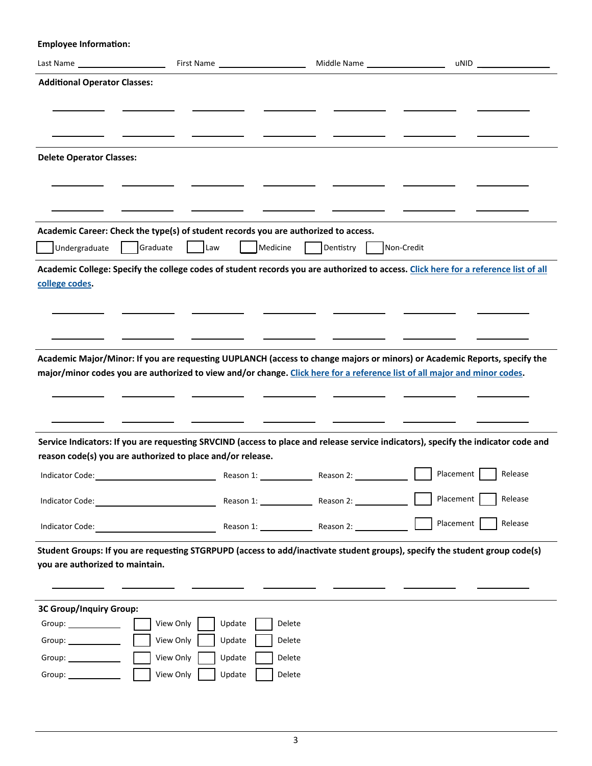**Employee Information:** 

| <b>Additional Operator Classes:</b>                                                                                                                                                                                           |                                                                                     |                                                                                                                                                                                                                                                        |                      |
|-------------------------------------------------------------------------------------------------------------------------------------------------------------------------------------------------------------------------------|-------------------------------------------------------------------------------------|--------------------------------------------------------------------------------------------------------------------------------------------------------------------------------------------------------------------------------------------------------|----------------------|
|                                                                                                                                                                                                                               |                                                                                     |                                                                                                                                                                                                                                                        |                      |
|                                                                                                                                                                                                                               |                                                                                     |                                                                                                                                                                                                                                                        |                      |
|                                                                                                                                                                                                                               |                                                                                     |                                                                                                                                                                                                                                                        |                      |
| <b>Delete Operator Classes:</b>                                                                                                                                                                                               |                                                                                     |                                                                                                                                                                                                                                                        |                      |
|                                                                                                                                                                                                                               |                                                                                     |                                                                                                                                                                                                                                                        |                      |
|                                                                                                                                                                                                                               |                                                                                     |                                                                                                                                                                                                                                                        |                      |
|                                                                                                                                                                                                                               |                                                                                     |                                                                                                                                                                                                                                                        |                      |
|                                                                                                                                                                                                                               | Academic Career: Check the type(s) of student records you are authorized to access. |                                                                                                                                                                                                                                                        |                      |
| Undergraduate<br>Graduate                                                                                                                                                                                                     | Medicine<br>  Law                                                                   | Dentistry  <br>Non-Credit                                                                                                                                                                                                                              |                      |
|                                                                                                                                                                                                                               |                                                                                     | Academic College: Specify the college codes of student records you are authorized to access. Click here for a reference list of all                                                                                                                    |                      |
| college codes.                                                                                                                                                                                                                |                                                                                     |                                                                                                                                                                                                                                                        |                      |
|                                                                                                                                                                                                                               |                                                                                     |                                                                                                                                                                                                                                                        |                      |
|                                                                                                                                                                                                                               |                                                                                     |                                                                                                                                                                                                                                                        |                      |
|                                                                                                                                                                                                                               |                                                                                     |                                                                                                                                                                                                                                                        |                      |
|                                                                                                                                                                                                                               |                                                                                     | Academic Major/Minor: If you are requesting UUPLANCH (access to change majors or minors) or Academic Reports, specify the<br>major/minor codes you are authorized to view and/or change. Click here for a reference list of all major and minor codes. |                      |
|                                                                                                                                                                                                                               |                                                                                     |                                                                                                                                                                                                                                                        |                      |
|                                                                                                                                                                                                                               |                                                                                     |                                                                                                                                                                                                                                                        |                      |
|                                                                                                                                                                                                                               |                                                                                     |                                                                                                                                                                                                                                                        |                      |
|                                                                                                                                                                                                                               |                                                                                     | Service Indicators: If you are requesting SRVCIND (access to place and release service indicators), specify the indicator code and                                                                                                                     |                      |
| reason code(s) you are authorized to place and/or release.                                                                                                                                                                    |                                                                                     |                                                                                                                                                                                                                                                        |                      |
|                                                                                                                                                                                                                               |                                                                                     |                                                                                                                                                                                                                                                        | Release              |
| Indicator Code: The Communicator Code:                                                                                                                                                                                        |                                                                                     | Reason 1: Reason 2:                                                                                                                                                                                                                                    | Placement<br>Release |
| Indicator Code:                                                                                                                                                                                                               |                                                                                     | Reason 1: Reason 2: Reason 2:                                                                                                                                                                                                                          | Placement<br>Release |
|                                                                                                                                                                                                                               |                                                                                     | Student Groups: If you are requesting STGRPUPD (access to add/inactivate student groups), specify the student group code(s)                                                                                                                            |                      |
| you are authorized to maintain.                                                                                                                                                                                               |                                                                                     |                                                                                                                                                                                                                                                        |                      |
|                                                                                                                                                                                                                               |                                                                                     |                                                                                                                                                                                                                                                        |                      |
| 3C Group/Inquiry Group:                                                                                                                                                                                                       |                                                                                     |                                                                                                                                                                                                                                                        |                      |
| Group: ______________                                                                                                                                                                                                         | View Only<br>Update<br>Delete                                                       |                                                                                                                                                                                                                                                        |                      |
| Group: Carried Contract Contract Contract Contract Contract Contract Contract Contract Contract Contract Contract Contract Contract Contract Contract Contract Contract Contract Contract Contract Contract Contract Contract | View Only<br>Update<br>Delete                                                       |                                                                                                                                                                                                                                                        |                      |
| Group: Carried Contract Contract Contract Contract Contract Contract Contract Contract Contract Contract Contract Contract Contract Contract Contract Contract Contract Contract Contract Contract Contract Contract Contract | View Only<br>Update<br>Delete                                                       |                                                                                                                                                                                                                                                        |                      |
|                                                                                                                                                                                                                               | View Only<br>Update<br>Delete                                                       |                                                                                                                                                                                                                                                        |                      |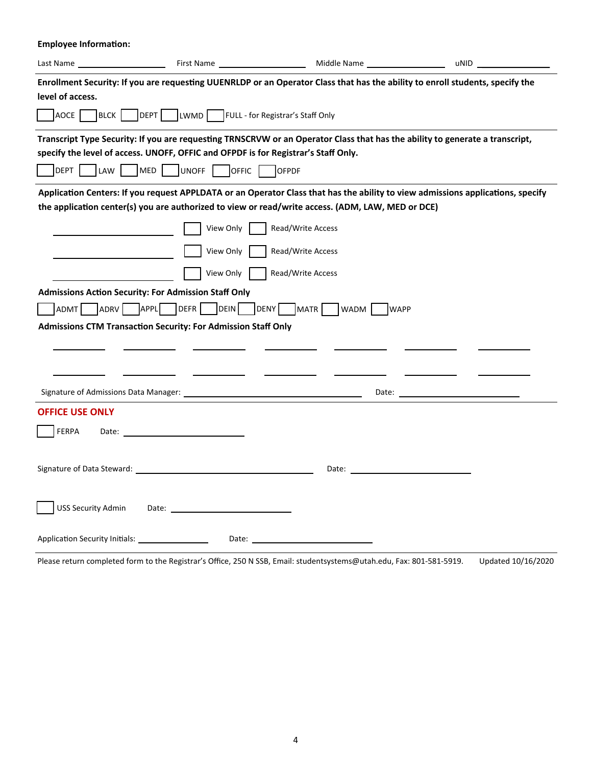**Employee Information:** Last Name First Name Middle Name uNID Enrollment Security: If you are requesting UUENRLDP or an Operator Class that has the ability to enroll students, specify the **level of access.**  AOCE BLCK DEPT LWMD FULL - for Registrar's Staff Only Transcript Type Security: If you are requesting TRNSCRVW or an Operator Class that has the ability to generate a transcript, **specify the level of access. UNOFF, OFFIC and OFPDF is for Registrar's Staff Only.**  DEPT LAW MED UNOFF OFFIC OFPDF **ApplicaƟon Centers: If you request APPLDATA or an Operator Class that has the ability to view admissions applicaƟons, specify the applicaƟon center(s) you are authorized to view or read/write access. (ADM, LAW, MED or DCE)**  View Only **Read/Write Access** View Only **Read/Write Access** | | View Only | | Read/Write Access **Admissions AcƟon Security: For Admission Staff Only**  ADMT ADRV APPL DEFR DEIN DENY MATR WADM WAPP **Admissions CTM TransacƟon Security: For Admission Staff Only**   $\overline{\phantom{a}}$  $\overline{\phantom{a}}$ Signature of Admissions Data Manager: Date: **OFFICE USE ONLY**  FERPA Date: 1999 Date: 2009 PERPA Date: 2009 PERPA Date: 2009 PERPA Signature of Data Steward: Date: USS Security Admin Date: Application Security Initials: Date: Date: Date: Date: Date: Date: Date: Date: Date: Date: Date: Date: Date: Date: Date: Date: Date: Date: Date: Date: Date: Date: Date: Date: Date: Date: Date: Date: Date: Date: Date: Date:

Please return completed form to the Registrar's Office, 250 N SSB, Email: studentsystems@utah.edu, Fax: 801‐581‐5919. Updated 10/16/2020